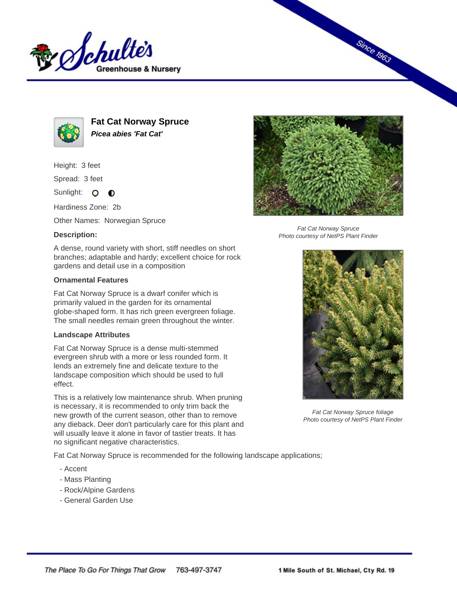



**Fat Cat Norway Spruce Picea abies 'Fat Cat'**

Height: 3 feet

Spread: 3 feet

Sunlight: O **O** 

Hardiness Zone: 2b

Other Names: Norwegian Spruce

## **Description:**



## **Ornamental Features**

Fat Cat Norway Spruce is a dwarf conifer which is primarily valued in the garden for its ornamental globe-shaped form. It has rich green evergreen foliage. The small needles remain green throughout the winter.

## **Landscape Attributes**

Fat Cat Norway Spruce is a dense multi-stemmed evergreen shrub with a more or less rounded form. It lends an extremely fine and delicate texture to the landscape composition which should be used to full effect.

This is a relatively low maintenance shrub. When pruning is necessary, it is recommended to only trim back the new growth of the current season, other than to remove any dieback. Deer don't particularly care for this plant and will usually leave it alone in favor of tastier treats. It has no significant negative characteristics.

Fat Cat Norway Spruce is recommended for the following landscape applications;

- Accent
- Mass Planting
- Rock/Alpine Gardens
- General Garden Use



**Since 1963** 

Fat Cat Norway Spruce Photo courtesy of NetPS Plant Finder



Fat Cat Norway Spruce foliage Photo courtesy of NetPS Plant Finder